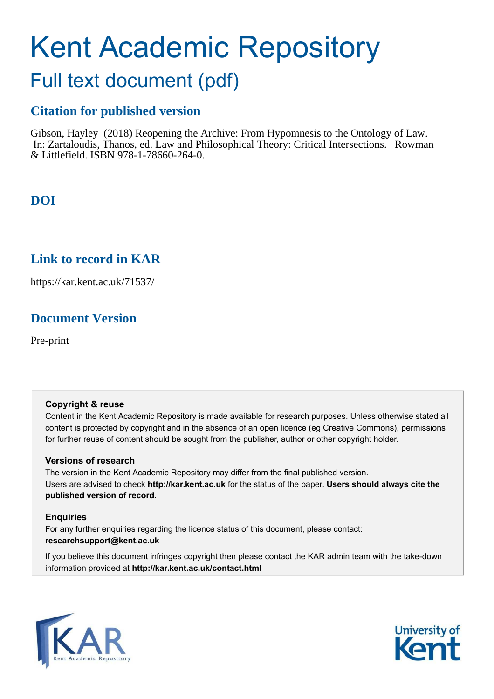# Kent Academic Repository

## Full text document (pdf)

## **Citation for published version**

Gibson, Hayley (2018) Reopening the Archive: From Hypomnesis to the Ontology of Law. In: Zartaloudis, Thanos, ed. Law and Philosophical Theory: Critical Intersections. Rowman & Littlefield. ISBN 978-1-78660-264-0.

## **DOI**

## **Link to record in KAR**

https://kar.kent.ac.uk/71537/

## **Document Version**

Pre-print

#### **Copyright & reuse**

Content in the Kent Academic Repository is made available for research purposes. Unless otherwise stated all content is protected by copyright and in the absence of an open licence (eg Creative Commons), permissions for further reuse of content should be sought from the publisher, author or other copyright holder.

#### **Versions of research**

The version in the Kent Academic Repository may differ from the final published version. Users are advised to check **http://kar.kent.ac.uk** for the status of the paper. **Users should always cite the published version of record.**

#### **Enquiries**

For any further enquiries regarding the licence status of this document, please contact: **researchsupport@kent.ac.uk**

If you believe this document infringes copyright then please contact the KAR admin team with the take-down information provided at **http://kar.kent.ac.uk/contact.html**



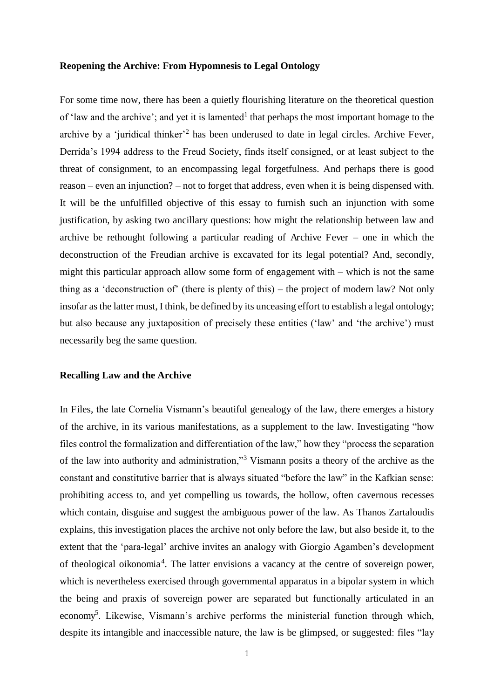#### **Reopening the Archive: From Hypomnesis to Legal Ontology**

For some time now, there has been a quietly flourishing literature on the theoretical question of 'law and the archive'; and yet it is lamented<sup>1</sup> that perhaps the most important homage to the archive by a 'juridical thinker<sup>2</sup> has been underused to date in legal circles. Archive Fever, Derrida's 1994 address to the Freud Society, finds itself consigned, or at least subject to the threat of consignment, to an encompassing legal forgetfulness. And perhaps there is good reason – even an injunction? – not to forget that address, even when it is being dispensed with. It will be the unfulfilled objective of this essay to furnish such an injunction with some justification, by asking two ancillary questions: how might the relationship between law and archive be rethought following a particular reading of Archive Fever – one in which the deconstruction of the Freudian archive is excavated for its legal potential? And, secondly, might this particular approach allow some form of engagement with – which is not the same thing as a 'deconstruction of' (there is plenty of this) – the project of modern law? Not only insofar as the latter must, I think, be defined by its unceasing effort to establish a legal ontology; but also because any juxtaposition of precisely these entities ('law' and 'the archive') must necessarily beg the same question.

#### **Recalling Law and the Archive**

In Files, the late Cornelia Vismann's beautiful genealogy of the law, there emerges a history of the archive, in its various manifestations, as a supplement to the law. Investigating "how files control the formalization and differentiation of the law," how they "process the separation of the law into authority and administration,"<sup>3</sup> Vismann posits a theory of the archive as the constant and constitutive barrier that is always situated "before the law" in the Kafkian sense: prohibiting access to, and yet compelling us towards, the hollow, often cavernous recesses which contain, disguise and suggest the ambiguous power of the law. As Thanos Zartaloudis explains, this investigation places the archive not only before the law, but also beside it, to the extent that the 'para-legal' archive invites an analogy with Giorgio Agamben's development of theological oikonomia<sup>4</sup>. The latter envisions a vacancy at the centre of sovereign power, which is nevertheless exercised through governmental apparatus in a bipolar system in which the being and praxis of sovereign power are separated but functionally articulated in an economy<sup>5</sup>. Likewise, Vismann's archive performs the ministerial function through which, despite its intangible and inaccessible nature, the law is be glimpsed, or suggested: files "lay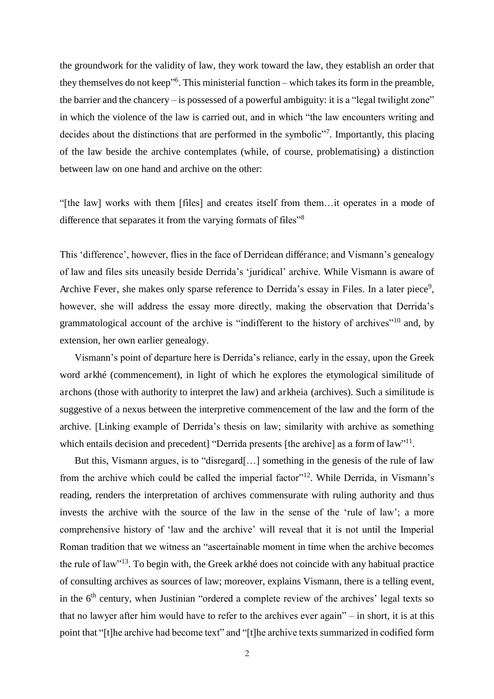the groundwork for the validity of law, they work toward the law, they establish an order that they themselves do not keep" 6 . This ministerial function – which takes its form in the preamble, the barrier and the chancery – is possessed of a powerful ambiguity: it is a "legal twilight zone" in which the violence of the law is carried out, and in which "the law encounters writing and decides about the distinctions that are performed in the symbolic"7. Importantly, this placing of the law beside the archive contemplates (while, of course, problematising) a distinction between law on one hand and archive on the other:

"[the law] works with them [files] and creates itself from them…it operates in a mode of difference that separates it from the varying formats of files"<sup>8</sup>

This 'difference', however, flies in the face of Derridean différance; and Vismann's genealogy of law and files sits uneasily beside Derrida's 'juridical' archive. While Vismann is aware of Archive Fever, she makes only sparse reference to Derrida's essay in Files. In a later piece<sup>9</sup>, however, she will address the essay more directly, making the observation that Derrida's grammatological account of the archive is "indifferent to the history of archives"<sup>10</sup> and, by extension, her own earlier genealogy.

Vismann's point of departure here is Derrida's reliance, early in the essay, upon the Greek word arkhé (commencement), in light of which he explores the etymological similitude of archons (those with authority to interpret the law) and arkheia (archives). Such a similitude is suggestive of a nexus between the interpretive commencement of the law and the form of the archive. [Linking example of Derrida's thesis on law; similarity with archive as something which entails decision and precedent] "Derrida presents [the archive] as a form of law"<sup>11</sup>.

But this, Vismann argues, is to "disregard[…] something in the genesis of the rule of law from the archive which could be called the imperial factor<sup>"12</sup>. While Derrida, in Vismann's reading, renders the interpretation of archives commensurate with ruling authority and thus invests the archive with the source of the law in the sense of the 'rule of law'; a more comprehensive history of 'law and the archive' will reveal that it is not until the Imperial Roman tradition that we witness an "ascertainable moment in time when the archive becomes the rule of law"<sup>13</sup>. To begin with, the Greek arkhé does not coincide with any habitual practice of consulting archives as sources of law; moreover, explains Vismann, there is a telling event, in the  $6<sup>th</sup>$  century, when Justinian "ordered a complete review of the archives' legal texts so that no lawyer after him would have to refer to the archives ever again" – in short, it is at this point that "[t]he archive had become text" and "[t]he archive texts summarized in codified form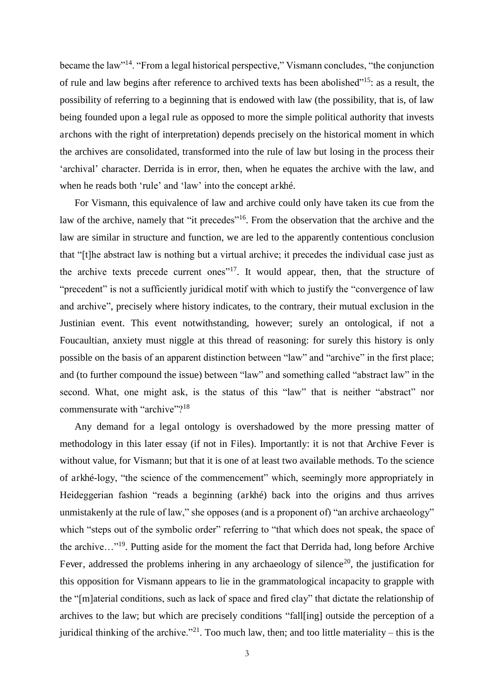became the law"<sup>14</sup>. "From a legal historical perspective," Vismann concludes, "the conjunction of rule and law begins after reference to archived texts has been abolished"<sup>15</sup>: as a result, the possibility of referring to a beginning that is endowed with law (the possibility, that is, of law being founded upon a legal rule as opposed to more the simple political authority that invests archons with the right of interpretation) depends precisely on the historical moment in which the archives are consolidated, transformed into the rule of law but losing in the process their 'archival' character. Derrida is in error, then, when he equates the archive with the law, and when he reads both 'rule' and 'law' into the concept arkhé.

For Vismann, this equivalence of law and archive could only have taken its cue from the law of the archive, namely that "it precedes"<sup>16</sup>. From the observation that the archive and the law are similar in structure and function, we are led to the apparently contentious conclusion that "[t]he abstract law is nothing but a virtual archive; it precedes the individual case just as the archive texts precede current ones<sup>"17</sup>. It would appear, then, that the structure of "precedent" is not a sufficiently juridical motif with which to justify the "convergence of law and archive", precisely where history indicates, to the contrary, their mutual exclusion in the Justinian event. This event notwithstanding, however; surely an ontological, if not a Foucaultian, anxiety must niggle at this thread of reasoning: for surely this history is only possible on the basis of an apparent distinction between "law" and "archive" in the first place; and (to further compound the issue) between "law" and something called "abstract law" in the second. What, one might ask, is the status of this "law" that is neither "abstract" nor commensurate with "archive"?<sup>18</sup>

Any demand for a legal ontology is overshadowed by the more pressing matter of methodology in this later essay (if not in Files). Importantly: it is not that Archive Fever is without value, for Vismann; but that it is one of at least two available methods. To the science of arkhé-logy, "the science of the commencement" which, seemingly more appropriately in Heideggerian fashion "reads a beginning (arkhé) back into the origins and thus arrives unmistakenly at the rule of law," she opposes (and is a proponent of) "an archive archaeology" which "steps out of the symbolic order" referring to "that which does not speak, the space of the archive…"<sup>19</sup>. Putting aside for the moment the fact that Derrida had, long before Archive Fever, addressed the problems inhering in any archaeology of silence<sup>20</sup>, the iustification for this opposition for Vismann appears to lie in the grammatological incapacity to grapple with the "[m]aterial conditions, such as lack of space and fired clay" that dictate the relationship of archives to the law; but which are precisely conditions "fall[ing] outside the perception of a juridical thinking of the archive."<sup>21</sup>. Too much law, then; and too little materiality – this is the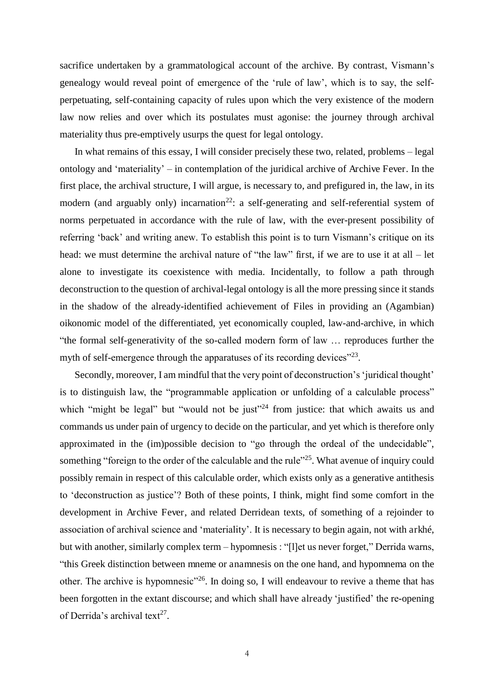sacrifice undertaken by a grammatological account of the archive. By contrast, Vismann's genealogy would reveal point of emergence of the 'rule of law', which is to say, the selfperpetuating, self-containing capacity of rules upon which the very existence of the modern law now relies and over which its postulates must agonise: the journey through archival materiality thus pre-emptively usurps the quest for legal ontology.

In what remains of this essay, I will consider precisely these two, related, problems – legal ontology and 'materiality' – in contemplation of the juridical archive of Archive Fever. In the first place, the archival structure, I will argue, is necessary to, and prefigured in, the law, in its modern (and arguably only) incarnation<sup>22</sup>: a self-generating and self-referential system of norms perpetuated in accordance with the rule of law, with the ever-present possibility of referring 'back' and writing anew. To establish this point is to turn Vismann's critique on its head: we must determine the archival nature of "the law" first, if we are to use it at all – let alone to investigate its coexistence with media. Incidentally, to follow a path through deconstruction to the question of archival-legal ontology is all the more pressing since it stands in the shadow of the already-identified achievement of Files in providing an (Agambian) oikonomic model of the differentiated, yet economically coupled, law-and-archive, in which "the formal self-generativity of the so-called modern form of law … reproduces further the myth of self-emergence through the apparatuses of its recording devices" $^{23}$ .

Secondly, moreover, I am mindful that the very point of deconstruction's 'juridical thought' is to distinguish law, the "programmable application or unfolding of a calculable process" which "might be legal" but "would not be just"<sup>24</sup> from justice: that which awaits us and commands us under pain of urgency to decide on the particular, and yet which is therefore only approximated in the (im)possible decision to "go through the ordeal of the undecidable", something "foreign to the order of the calculable and the rule"<sup>25</sup>. What avenue of inquiry could possibly remain in respect of this calculable order, which exists only as a generative antithesis to 'deconstruction as justice'? Both of these points, I think, might find some comfort in the development in Archive Fever, and related Derridean texts, of something of a rejoinder to association of archival science and 'materiality'. It is necessary to begin again, not with arkhé, but with another, similarly complex term – hypomnesis : "[l]et us never forget," Derrida warns, "this Greek distinction between mneme or anamnesis on the one hand, and hypomnema on the other. The archive is hypomnesic<sup> $26$ </sup>. In doing so, I will endeavour to revive a theme that has been forgotten in the extant discourse; and which shall have already 'justified' the re-opening of Derrida's archival text<sup>27</sup>.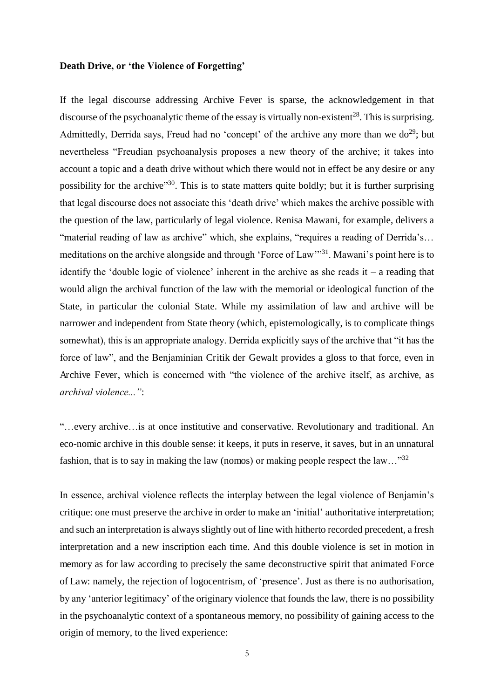#### **Death Drive, or 'the Violence of Forgetting'**

If the legal discourse addressing Archive Fever is sparse, the acknowledgement in that discourse of the psychoanalytic theme of the essay is virtually non-existent<sup>28</sup>. This is surprising. Admittedly, Derrida says, Freud had no 'concept' of the archive any more than we  $do^{29}$ ; but nevertheless "Freudian psychoanalysis proposes a new theory of the archive; it takes into account a topic and a death drive without which there would not in effect be any desire or any possibility for the archive"<sup>30</sup>. This is to state matters quite boldly; but it is further surprising that legal discourse does not associate this 'death drive' which makes the archive possible with the question of the law, particularly of legal violence. Renisa Mawani, for example, delivers a "material reading of law as archive" which, she explains, "requires a reading of Derrida's... meditations on the archive alongside and through 'Force of Law'<sup>31</sup>. Mawani's point here is to identify the 'double logic of violence' inherent in the archive as she reads it – a reading that would align the archival function of the law with the memorial or ideological function of the State, in particular the colonial State. While my assimilation of law and archive will be narrower and independent from State theory (which, epistemologically, is to complicate things somewhat), this is an appropriate analogy. Derrida explicitly says of the archive that "it has the force of law", and the Benjaminian Critik der Gewalt provides a gloss to that force, even in Archive Fever, which is concerned with "the violence of the archive itself, as archive, as *archival violence..."*:

"…every archive…is at once institutive and conservative. Revolutionary and traditional. An eco-nomic archive in this double sense: it keeps, it puts in reserve, it saves, but in an unnatural fashion, that is to say in making the law (nomos) or making people respect the law…"<sup>32</sup>

In essence, archival violence reflects the interplay between the legal violence of Benjamin's critique: one must preserve the archive in order to make an 'initial' authoritative interpretation; and such an interpretation is always slightly out of line with hitherto recorded precedent, a fresh interpretation and a new inscription each time. And this double violence is set in motion in memory as for law according to precisely the same deconstructive spirit that animated Force of Law: namely, the rejection of logocentrism, of 'presence'. Just as there is no authorisation, by any 'anterior legitimacy' of the originary violence that founds the law, there is no possibility in the psychoanalytic context of a spontaneous memory, no possibility of gaining access to the origin of memory, to the lived experience: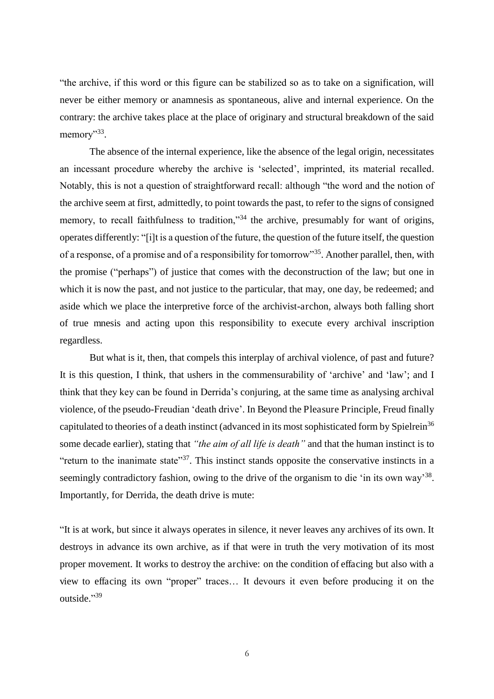"the archive, if this word or this figure can be stabilized so as to take on a signification, will never be either memory or anamnesis as spontaneous, alive and internal experience. On the contrary: the archive takes place at the place of originary and structural breakdown of the said memory"<sup>33</sup>.

The absence of the internal experience, like the absence of the legal origin, necessitates an incessant procedure whereby the archive is 'selected', imprinted, its material recalled. Notably, this is not a question of straightforward recall: although "the word and the notion of the archive seem at first, admittedly, to point towards the past, to refer to the signs of consigned memory, to recall faithfulness to tradition,"<sup>34</sup> the archive, presumably for want of origins, operates differently: "[i]t is a question of the future, the question of the future itself, the question of a response, of a promise and of a responsibility for tomorrow"<sup>35</sup>. Another parallel, then, with the promise ("perhaps") of justice that comes with the deconstruction of the law; but one in which it is now the past, and not justice to the particular, that may, one day, be redeemed; and aside which we place the interpretive force of the archivist-archon, always both falling short of true mnesis and acting upon this responsibility to execute every archival inscription regardless.

 But what is it, then, that compels this interplay of archival violence, of past and future? It is this question, I think, that ushers in the commensurability of 'archive' and 'law'; and I think that they key can be found in Derrida's conjuring, at the same time as analysing archival violence, of the pseudo-Freudian 'death drive'. In Beyond the Pleasure Principle, Freud finally capitulated to theories of a death instinct (advanced in its most sophisticated form by Spielrein<sup>36</sup> some decade earlier), stating that *"the aim of all life is death"* and that the human instinct is to "return to the inanimate state"<sup>37</sup>. This instinct stands opposite the conservative instincts in a seemingly contradictory fashion, owing to the drive of the organism to die 'in its own way'<sup>38</sup>. Importantly, for Derrida, the death drive is mute:

"It is at work, but since it always operates in silence, it never leaves any archives of its own. It destroys in advance its own archive, as if that were in truth the very motivation of its most proper movement. It works to destroy the archive: on the condition of effacing but also with a view to effacing its own "proper" traces… It devours it even before producing it on the outside."<sup>39</sup>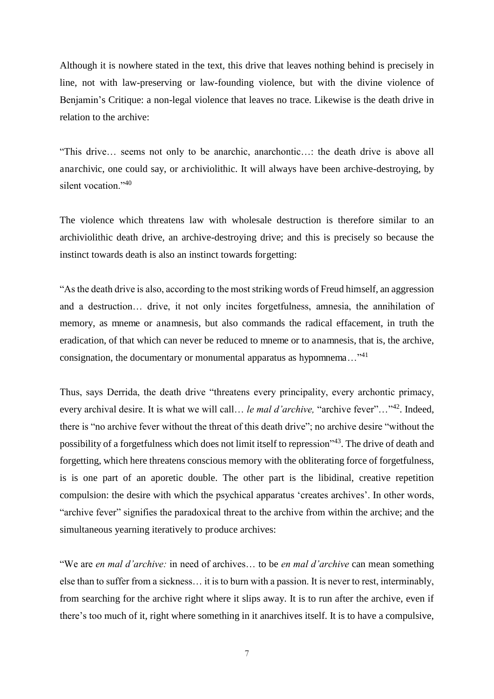Although it is nowhere stated in the text, this drive that leaves nothing behind is precisely in line, not with law-preserving or law-founding violence, but with the divine violence of Benjamin's Critique: a non-legal violence that leaves no trace. Likewise is the death drive in relation to the archive:

"This drive… seems not only to be anarchic, anarchontic…: the death drive is above all anarchivic, one could say, or archiviolithic. It will always have been archive-destroying, by silent vocation."<sup>40</sup>

The violence which threatens law with wholesale destruction is therefore similar to an archiviolithic death drive, an archive-destroying drive; and this is precisely so because the instinct towards death is also an instinct towards forgetting:

"As the death drive is also, according to the most striking words of Freud himself, an aggression and a destruction… drive, it not only incites forgetfulness, amnesia, the annihilation of memory, as mneme or anamnesis, but also commands the radical effacement, in truth the eradication, of that which can never be reduced to mneme or to anamnesis, that is, the archive, consignation, the documentary or monumental apparatus as hypomnema…"<sup>41</sup>

Thus, says Derrida, the death drive "threatens every principality, every archontic primacy, every archival desire. It is what we will call… *le mal d'archive,* "archive fever"…"<sup>42</sup>. Indeed, there is "no archive fever without the threat of this death drive"; no archive desire "without the possibility of a forgetfulness which does not limit itself to repression"<sup>43</sup>. The drive of death and forgetting, which here threatens conscious memory with the obliterating force of forgetfulness, is is one part of an aporetic double. The other part is the libidinal, creative repetition compulsion: the desire with which the psychical apparatus 'creates archives'. In other words, "archive fever" signifies the paradoxical threat to the archive from within the archive; and the simultaneous yearning iteratively to produce archives:

"We are *en mal d'archive:* in need of archives… to be *en mal d'archive* can mean something else than to suffer from a sickness… it is to burn with a passion. It is never to rest, interminably, from searching for the archive right where it slips away. It is to run after the archive, even if there's too much of it, right where something in it anarchives itself. It is to have a compulsive,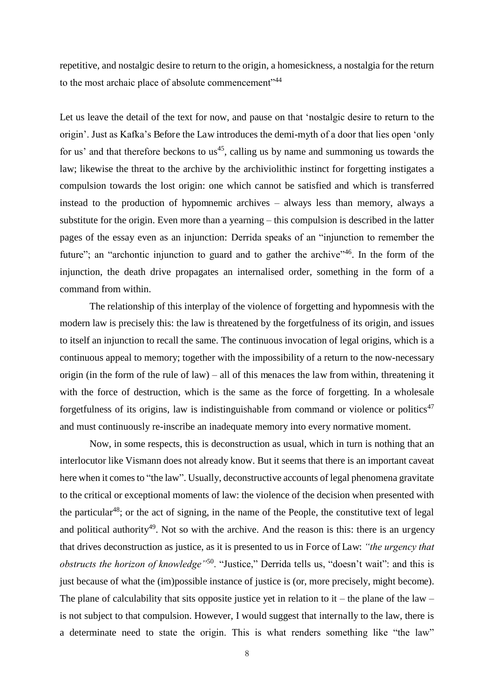repetitive, and nostalgic desire to return to the origin, a homesickness, a nostalgia for the return to the most archaic place of absolute commencement"<sup>44</sup>

Let us leave the detail of the text for now, and pause on that 'nostalgic desire to return to the origin'. Just as Kafka's Before the Law introduces the demi-myth of a door that lies open 'only for us' and that therefore beckons to us<sup>45</sup>, calling us by name and summoning us towards the law; likewise the threat to the archive by the archiviolithic instinct for forgetting instigates a compulsion towards the lost origin: one which cannot be satisfied and which is transferred instead to the production of hypomnemic archives – always less than memory, always a substitute for the origin. Even more than a yearning – this compulsion is described in the latter pages of the essay even as an injunction: Derrida speaks of an "injunction to remember the future"; an "archontic injunction to guard and to gather the archive"<sup>46</sup>. In the form of the injunction, the death drive propagates an internalised order, something in the form of a command from within.

 The relationship of this interplay of the violence of forgetting and hypomnesis with the modern law is precisely this: the law is threatened by the forgetfulness of its origin, and issues to itself an injunction to recall the same. The continuous invocation of legal origins, which is a continuous appeal to memory; together with the impossibility of a return to the now-necessary origin (in the form of the rule of law) – all of this menaces the law from within, threatening it with the force of destruction, which is the same as the force of forgetting. In a wholesale forgetfulness of its origins, law is indistinguishable from command or violence or politics<sup>47</sup> and must continuously re-inscribe an inadequate memory into every normative moment.

 Now, in some respects, this is deconstruction as usual, which in turn is nothing that an interlocutor like Vismann does not already know. But it seems that there is an important caveat here when it comes to "the law". Usually, deconstructive accounts of legal phenomena gravitate to the critical or exceptional moments of law: the violence of the decision when presented with the particular<sup>48</sup>; or the act of signing, in the name of the People, the constitutive text of legal and political authority<sup>49</sup>. Not so with the archive. And the reason is this: there is an urgency that drives deconstruction as justice, as it is presented to us in Force of Law: *"the urgency that obstructs the horizon of knowledge"*<sup>50</sup>. "Justice," Derrida tells us, "doesn't wait": and this is just because of what the (im)possible instance of justice is (or, more precisely, might become). The plane of calculability that sits opposite justice yet in relation to it – the plane of the law – is not subject to that compulsion. However, I would suggest that internally to the law, there is a determinate need to state the origin. This is what renders something like "the law"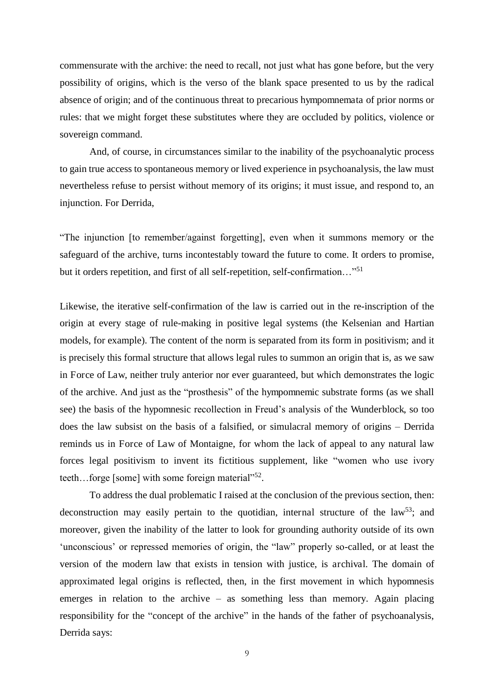commensurate with the archive: the need to recall, not just what has gone before, but the very possibility of origins, which is the verso of the blank space presented to us by the radical absence of origin; and of the continuous threat to precarious hympomnemata of prior norms or rules: that we might forget these substitutes where they are occluded by politics, violence or sovereign command.

And, of course, in circumstances similar to the inability of the psychoanalytic process to gain true access to spontaneous memory or lived experience in psychoanalysis, the law must nevertheless refuse to persist without memory of its origins; it must issue, and respond to, an injunction. For Derrida,

"The injunction [to remember/against forgetting], even when it summons memory or the safeguard of the archive, turns incontestably toward the future to come. It orders to promise, but it orders repetition, and first of all self-repetition, self-confirmation..."<sup>51</sup>

Likewise, the iterative self-confirmation of the law is carried out in the re-inscription of the origin at every stage of rule-making in positive legal systems (the Kelsenian and Hartian models, for example). The content of the norm is separated from its form in positivism; and it is precisely this formal structure that allows legal rules to summon an origin that is, as we saw in Force of Law, neither truly anterior nor ever guaranteed, but which demonstrates the logic of the archive. And just as the "prosthesis" of the hympomnemic substrate forms (as we shall see) the basis of the hypomnesic recollection in Freud's analysis of the Wunderblock, so too does the law subsist on the basis of a falsified, or simulacral memory of origins – Derrida reminds us in Force of Law of Montaigne, for whom the lack of appeal to any natural law forces legal positivism to invent its fictitious supplement, like "women who use ivory teeth...forge [some] with some foreign material" $52$ .

 To address the dual problematic I raised at the conclusion of the previous section, then: deconstruction may easily pertain to the quotidian, internal structure of the law<sup>53</sup>; and moreover, given the inability of the latter to look for grounding authority outside of its own 'unconscious' or repressed memories of origin, the "law" properly so-called, or at least the version of the modern law that exists in tension with justice, is archival. The domain of approximated legal origins is reflected, then, in the first movement in which hypomnesis emerges in relation to the archive  $-$  as something less than memory. Again placing responsibility for the "concept of the archive" in the hands of the father of psychoanalysis, Derrida says: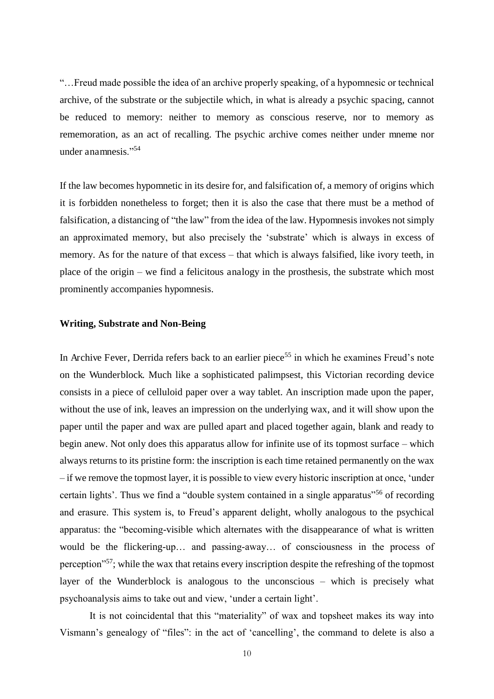"…Freud made possible the idea of an archive properly speaking, of a hypomnesic or technical archive, of the substrate or the subjectile which, in what is already a psychic spacing, cannot be reduced to memory: neither to memory as conscious reserve, nor to memory as rememoration, as an act of recalling. The psychic archive comes neither under mneme nor under anamnesis."<sup>54</sup>

If the law becomes hypomnetic in its desire for, and falsification of, a memory of origins which it is forbidden nonetheless to forget; then it is also the case that there must be a method of falsification, a distancing of "the law" from the idea of the law. Hypomnesis invokes not simply an approximated memory, but also precisely the 'substrate' which is always in excess of memory. As for the nature of that excess – that which is always falsified, like ivory teeth, in place of the origin – we find a felicitous analogy in the prosthesis, the substrate which most prominently accompanies hypomnesis.

#### **Writing, Substrate and Non-Being**

In Archive Fever, Derrida refers back to an earlier piece<sup>55</sup> in which he examines Freud's note on the Wunderblock. Much like a sophisticated palimpsest, this Victorian recording device consists in a piece of celluloid paper over a way tablet. An inscription made upon the paper, without the use of ink, leaves an impression on the underlying wax, and it will show upon the paper until the paper and wax are pulled apart and placed together again, blank and ready to begin anew. Not only does this apparatus allow for infinite use of its topmost surface – which always returns to its pristine form: the inscription is each time retained permanently on the wax – if we remove the topmost layer, it is possible to view every historic inscription at once, 'under certain lights'. Thus we find a "double system contained in a single apparatus"<sup>56</sup> of recording and erasure. This system is, to Freud's apparent delight, wholly analogous to the psychical apparatus: the "becoming-visible which alternates with the disappearance of what is written would be the flickering-up… and passing-away… of consciousness in the process of perception"<sup>57</sup>; while the wax that retains every inscription despite the refreshing of the topmost layer of the Wunderblock is analogous to the unconscious – which is precisely what psychoanalysis aims to take out and view, 'under a certain light'.

It is not coincidental that this "materiality" of wax and topsheet makes its way into Vismann's genealogy of "files": in the act of 'cancelling', the command to delete is also a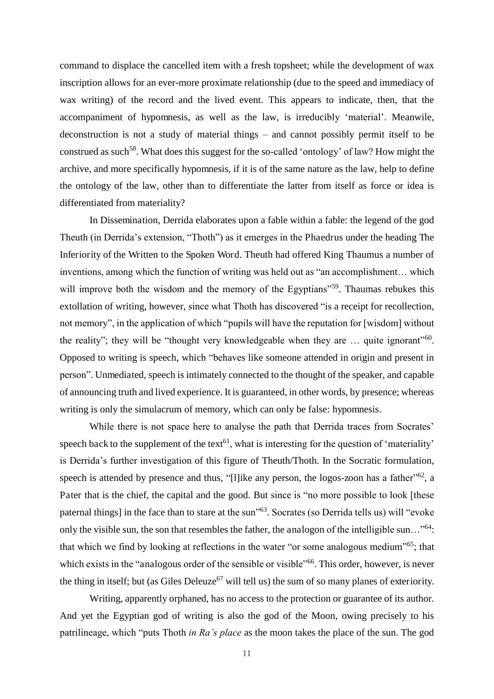command to displace the cancelled item with a fresh topsheet; while the development of wax inscription allows for an ever-more proximate relationship (due to the speed and immediacy of wax writing) of the record and the lived event. This appears to indicate, then, that the accompaniment of hypomnesis, as well as the law, is irreducibly 'material'. Meanwile, deconstruction is not a study of material things – and cannot possibly permit itself to be construed as such<sup>58</sup>. What does this suggest for the so-called 'ontology' of law? How might the archive, and more specifically hypomnesis, if it is of the same nature as the law, help to define the ontology of the law, other than to differentiate the latter from itself as force or idea is differentiated from materiality?

 In Dissemination, Derrida elaborates upon a fable within a fable: the legend of the god Theuth (in Derrida's extension, "Thoth") as it emerges in the Phaedrus under the heading The Inferiority of the Written to the Spoken Word. Theuth had offered King Thaumus a number of inventions, among which the function of writing was held out as "an accomplishment… which will improve both the wisdom and the memory of the Egyptians<sup>"59</sup>. Thaumas rebukes this extollation of writing, however, since what Thoth has discovered "is a receipt for recollection, not memory", in the application of which "pupils will have the reputation for [wisdom] without the reality"; they will be "thought very knowledgeable when they are  $\ldots$  quite ignorant"<sup>60</sup>. Opposed to writing is speech, which "behaves like someone attended in origin and present in person". Unmediated, speech is intimately connected to the thought of the speaker, and capable of announcing truth and lived experience. It is guaranteed, in other words, by presence; whereas writing is only the simulacrum of memory, which can only be false: hypomnesis.

 While there is not space here to analyse the path that Derrida traces from Socrates' speech back to the supplement of the text<sup>61</sup>, what is interesting for the question of 'materiality' is Derrida's further investigation of this figure of Theuth/Thoth. In the Socratic formulation, speech is attended by presence and thus, "[l]ike any person, the logos-zoon has a father"<sup>62</sup>, a Pater that is the chief, the capital and the good. But since is "no more possible to look [these paternal things] in the face than to stare at the sun<sup>163</sup>. Socrates (so Derrida tells us) will "evoke only the visible sun, the son that resembles the father, the analogon of the intelligible sun…"<sup>64</sup>: that which we find by looking at reflections in the water "or some analogous medium"<sup>65</sup>; that which exists in the "analogous order of the sensible or visible"<sup>66</sup>. This order, however, is never the thing in itself; but (as Giles Deleuze<sup>67</sup> will tell us) the sum of so many planes of exteriority.

Writing, apparently orphaned, has no access to the protection or guarantee of its author. And yet the Egyptian god of writing is also the god of the Moon, owing precisely to his patrilineage, which "puts Thoth *in Ra's place* as the moon takes the place of the sun. The god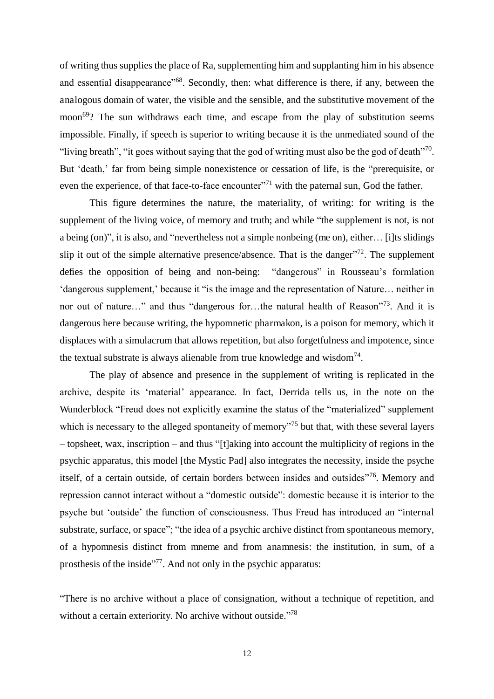of writing thus supplies the place of Ra, supplementing him and supplanting him in his absence and essential disappearance"<sup>68</sup>. Secondly, then: what difference is there, if any, between the analogous domain of water, the visible and the sensible, and the substitutive movement of the moon<sup>69</sup>? The sun withdraws each time, and escape from the play of substitution seems impossible. Finally, if speech is superior to writing because it is the unmediated sound of the "living breath", "it goes without saying that the god of writing must also be the god of death"<sup>70</sup>. But 'death,' far from being simple nonexistence or cessation of life, is the "prerequisite, or even the experience, of that face-to-face encounter $\frac{m}{1}$  with the paternal sun, God the father.

 This figure determines the nature, the materiality, of writing: for writing is the supplement of the living voice, of memory and truth; and while "the supplement is not, is not a being (on)", it is also, and "nevertheless not a simple nonbeing (me on), either… [i]ts slidings slip it out of the simple alternative presence/absence. That is the danger $172$ . The supplement defies the opposition of being and non-being: "dangerous" in Rousseau's formlation 'dangerous supplement,' because it "is the image and the representation of Nature… neither in nor out of nature…" and thus "dangerous for...the natural health of Reason"<sup>73</sup>. And it is dangerous here because writing, the hypomnetic pharmakon, is a poison for memory, which it displaces with a simulacrum that allows repetition, but also forgetfulness and impotence, since the textual substrate is always alienable from true knowledge and wisdom<sup>74</sup>.

 The play of absence and presence in the supplement of writing is replicated in the archive, despite its 'material' appearance. In fact, Derrida tells us, in the note on the Wunderblock "Freud does not explicitly examine the status of the "materialized" supplement which is necessary to the alleged spontaneity of memory<sup>"75</sup> but that, with these several layers – topsheet, wax, inscription – and thus "[t]aking into account the multiplicity of regions in the psychic apparatus, this model [the Mystic Pad] also integrates the necessity, inside the psyche itself, of a certain outside, of certain borders between insides and outsides"<sup>76</sup>. Memory and repression cannot interact without a "domestic outside": domestic because it is interior to the psyche but 'outside' the function of consciousness. Thus Freud has introduced an "internal substrate, surface, or space"; "the idea of a psychic archive distinct from spontaneous memory, of a hypomnesis distinct from mneme and from anamnesis: the institution, in sum, of a prosthesis of the inside"<sup>77</sup>. And not only in the psychic apparatus:

"There is no archive without a place of consignation, without a technique of repetition, and without a certain exteriority. No archive without outside."<sup>78</sup>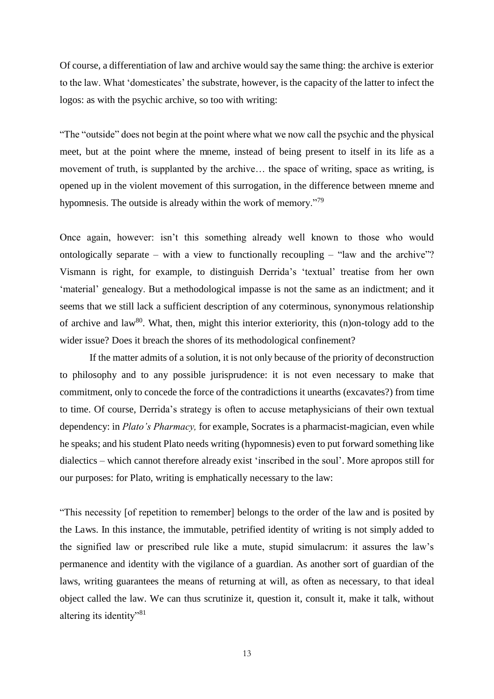Of course, a differentiation of law and archive would say the same thing: the archive is exterior to the law. What 'domesticates' the substrate, however, is the capacity of the latter to infect the logos: as with the psychic archive, so too with writing:

"The "outside" does not begin at the point where what we now call the psychic and the physical meet, but at the point where the mneme, instead of being present to itself in its life as a movement of truth, is supplanted by the archive… the space of writing, space as writing, is opened up in the violent movement of this surrogation, in the difference between mneme and hypomnesis. The outside is already within the work of memory."<sup>79</sup>

Once again, however: isn't this something already well known to those who would ontologically separate – with a view to functionally recoupling – "law and the archive"? Vismann is right, for example, to distinguish Derrida's 'textual' treatise from her own 'material' genealogy. But a methodological impasse is not the same as an indictment; and it seems that we still lack a sufficient description of any coterminous, synonymous relationship of archive and law<sup>80</sup>. What, then, might this interior exteriority, this (n)on-tology add to the wider issue? Does it breach the shores of its methodological confinement?

If the matter admits of a solution, it is not only because of the priority of deconstruction to philosophy and to any possible jurisprudence: it is not even necessary to make that commitment, only to concede the force of the contradictions it unearths (excavates?) from time to time. Of course, Derrida's strategy is often to accuse metaphysicians of their own textual dependency: in *Plato's Pharmacy,* for example, Socrates is a pharmacist-magician, even while he speaks; and his student Plato needs writing (hypomnesis) even to put forward something like dialectics – which cannot therefore already exist 'inscribed in the soul'. More apropos still for our purposes: for Plato, writing is emphatically necessary to the law:

"This necessity [of repetition to remember] belongs to the order of the law and is posited by the Laws. In this instance, the immutable, petrified identity of writing is not simply added to the signified law or prescribed rule like a mute, stupid simulacrum: it assures the law's permanence and identity with the vigilance of a guardian. As another sort of guardian of the laws, writing guarantees the means of returning at will, as often as necessary, to that ideal object called the law. We can thus scrutinize it, question it, consult it, make it talk, without altering its identity"<sup>81</sup>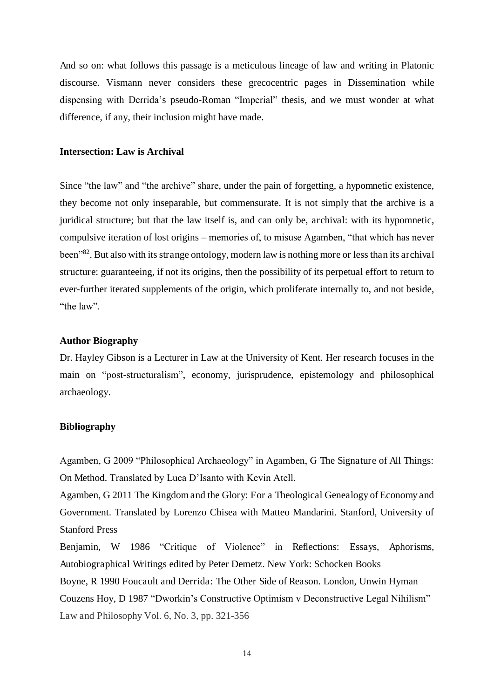And so on: what follows this passage is a meticulous lineage of law and writing in Platonic discourse. Vismann never considers these grecocentric pages in Dissemination while dispensing with Derrida's pseudo-Roman "Imperial" thesis, and we must wonder at what difference, if any, their inclusion might have made.

#### **Intersection: Law is Archival**

Since "the law" and "the archive" share, under the pain of forgetting, a hypomnetic existence, they become not only inseparable, but commensurate. It is not simply that the archive is a juridical structure; but that the law itself is, and can only be, archival: with its hypomnetic, compulsive iteration of lost origins – memories of, to misuse Agamben, "that which has never been<sup>"82</sup>. But also with its strange ontology, modern law is nothing more or less than its archival structure: guaranteeing, if not its origins, then the possibility of its perpetual effort to return to ever-further iterated supplements of the origin, which proliferate internally to, and not beside, "the law".

#### **Author Biography**

Dr. Hayley Gibson is a Lecturer in Law at the University of Kent. Her research focuses in the main on "post-structuralism", economy, jurisprudence, epistemology and philosophical archaeology.

#### **Bibliography**

Agamben, G 2009 "Philosophical Archaeology" in Agamben, G The Signature of All Things: On Method. Translated by Luca D'Isanto with Kevin Atell.

Agamben, G 2011 The Kingdom and the Glory: For a Theological Genealogy of Economy and Government. Translated by Lorenzo Chisea with Matteo Mandarini. Stanford, University of Stanford Press

Benjamin, W 1986 "Critique of Violence" in Reflections: Essays, Aphorisms, Autobiographical Writings edited by Peter Demetz. New York: Schocken Books

Boyne, R 1990 Foucault and Derrida: The Other Side of Reason. London, Unwin Hyman Couzens Hoy, D 1987 "Dworkin's Constructive Optimism v Deconstructive Legal Nihilism" Law and Philosophy Vol. 6, No. 3, pp. 321-356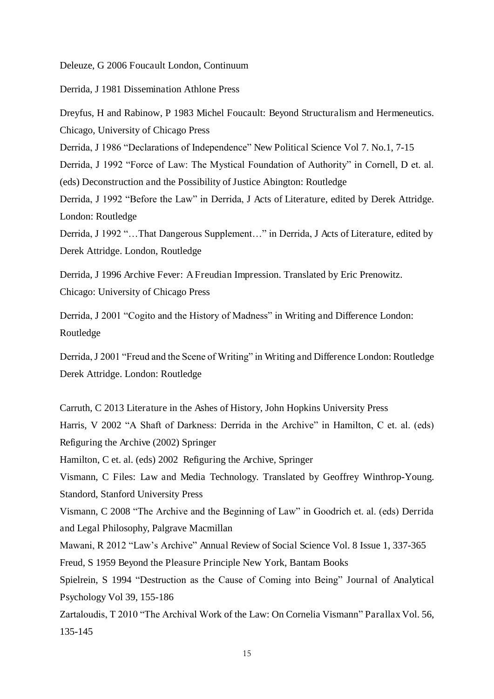Deleuze, G 2006 Foucault London, Continuum

Derrida, J 1981 Dissemination Athlone Press

Dreyfus, H and Rabinow, P 1983 Michel Foucault: Beyond Structuralism and Hermeneutics. Chicago, University of Chicago Press

Derrida, J 1986 "Declarations of Independence" New Political Science Vol 7. No.1, 7-15

Derrida, J 1992 "Force of Law: The Mystical Foundation of Authority" in Cornell, D et. al. (eds) Deconstruction and the Possibility of Justice Abington: Routledge

Derrida, J 1992 "Before the Law" in Derrida, J Acts of Literature, edited by Derek Attridge. London: Routledge

Derrida, J 1992 "…That Dangerous Supplement…" in Derrida, J Acts of Literature, edited by Derek Attridge. London, Routledge

Derrida, J 1996 Archive Fever: A Freudian Impression. Translated by Eric Prenowitz. Chicago: University of Chicago Press

Derrida, J 2001 "Cogito and the History of Madness" in Writing and Difference London: Routledge

Derrida, J 2001 "Freud and the Scene of Writing" in Writing and Difference London: Routledge Derek Attridge. London: Routledge

Carruth, C 2013 Literature in the Ashes of History, John Hopkins University Press Harris, V 2002 "A Shaft of Darkness: Derrida in the Archive" in Hamilton, C et. al. (eds) Refiguring the Archive (2002) Springer Hamilton, C et. al. (eds) 2002 Refiguring the Archive, Springer Vismann, C Files: Law and Media Technology. Translated by Geoffrey Winthrop-Young. Standord, Stanford University Press Vismann, C 2008 "The Archive and the Beginning of Law" in Goodrich et. al. (eds) Derrida and Legal Philosophy, Palgrave Macmillan Mawani, R 2012 "Law's Archive" Annual Review of Social Science Vol. 8 Issue 1, 337-365 Freud, S 1959 Beyond the Pleasure Principle New York, Bantam Books Spielrein, S 1994 "Destruction as the Cause of Coming into Being" Journal of Analytical Psychology Vol 39, 155-186 Zartaloudis, T 2010 "The Archival Work of the Law: On Cornelia Vismann" Parallax Vol. 56, 135-145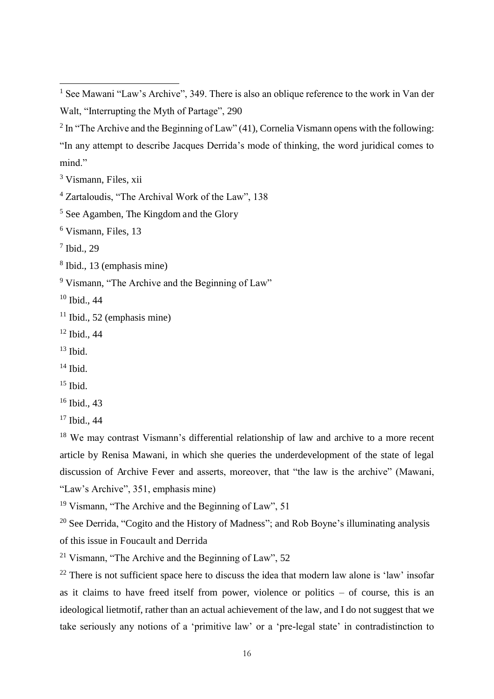<sup>3</sup> Vismann, Files, xii

6 Vismann, Files, 13

7 Ibid., 29

 $\overline{a}$ 

8 Ibid., 13 (emphasis mine)

<sup>9</sup> Vismann, "The Archive and the Beginning of Law"

<sup>10</sup> Ibid., 44

 $11$  Ibid., 52 (emphasis mine)

<sup>12</sup> Ibid., 44

 $13$  Ibid.

 $14$  Ibid.

 $15$  Ibid.

<sup>16</sup> Ibid., 43

<sup>17</sup> Ibid., 44

<sup>18</sup> We may contrast Vismann's differential relationship of law and archive to a more recent article by Renisa Mawani, in which she queries the underdevelopment of the state of legal discussion of Archive Fever and asserts, moreover, that "the law is the archive" (Mawani, "Law's Archive", 351, emphasis mine)

<sup>19</sup> Vismann, "The Archive and the Beginning of Law", 51

<sup>20</sup> See Derrida, "Cogito and the History of Madness"; and Rob Boyne's illuminating analysis

of this issue in Foucault and Derrida

<sup>21</sup> Vismann, "The Archive and the Beginning of Law", 52

 $22$  There is not sufficient space here to discuss the idea that modern law alone is 'law' insofar as it claims to have freed itself from power, violence or politics – of course, this is an ideological lietmotif, rather than an actual achievement of the law, and I do not suggest that we take seriously any notions of a 'primitive law' or a 'pre-legal state' in contradistinction to

<sup>&</sup>lt;sup>1</sup> See Mawani "Law's Archive", 349. There is also an oblique reference to the work in Van der Walt, "Interrupting the Myth of Partage", 290

<sup>&</sup>lt;sup>2</sup> In "The Archive and the Beginning of Law" (41), Cornelia Vismann opens with the following: "In any attempt to describe Jacques Derrida's mode of thinking, the word juridical comes to mind."

<sup>4</sup> Zartaloudis, "The Archival Work of the Law", 138

<sup>5</sup> See Agamben, The Kingdom and the Glory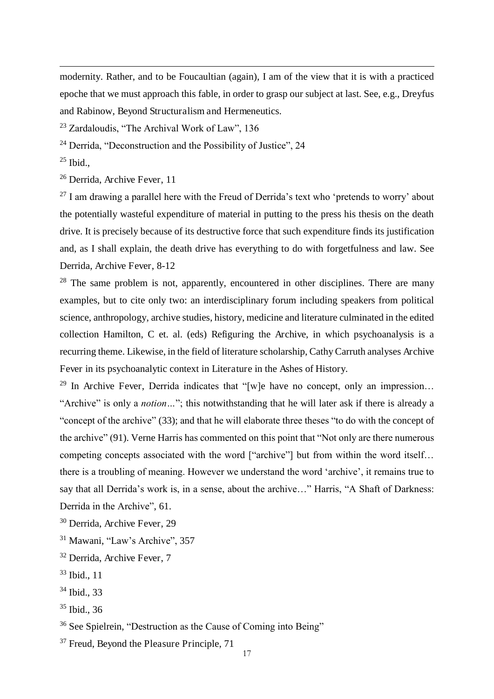modernity. Rather, and to be Foucaultian (again), I am of the view that it is with a practiced epoche that we must approach this fable, in order to grasp our subject at last. See, e.g., Dreyfus and Rabinow, Beyond Structuralism and Hermeneutics.

 $23$  Zardaloudis, "The Archival Work of Law", 136

<sup>24</sup> Derrida, "Deconstruction and the Possibility of Justice", 24

 $25$  Ibid.,

 $\overline{a}$ 

<sup>26</sup> Derrida, Archive Fever, 11

 $^{27}$  I am drawing a parallel here with the Freud of Derrida's text who 'pretends to worry' about the potentially wasteful expenditure of material in putting to the press his thesis on the death drive. It is precisely because of its destructive force that such expenditure finds its justification and, as I shall explain, the death drive has everything to do with forgetfulness and law. See Derrida, Archive Fever, 8-12

 $28$  The same problem is not, apparently, encountered in other disciplines. There are many examples, but to cite only two: an interdisciplinary forum including speakers from political science, anthropology, archive studies, history, medicine and literature culminated in the edited collection Hamilton, C et. al. (eds) Refiguring the Archive, in which psychoanalysis is a recurring theme. Likewise, in the field of literature scholarship, Cathy Carruth analyses Archive Fever in its psychoanalytic context in Literature in the Ashes of History.

<sup>29</sup> In Archive Fever, Derrida indicates that "[w]e have no concept, only an impression... "Archive" is only a *notion…*"; this notwithstanding that he will later ask if there is already a "concept of the archive" (33); and that he will elaborate three theses "to do with the concept of the archive" (91). Verne Harris has commented on this point that "Not only are there numerous competing concepts associated with the word ["archive"] but from within the word itself... there is a troubling of meaning. However we understand the word 'archive', it remains true to say that all Derrida's work is, in a sense, about the archive…" Harris, "A Shaft of Darkness: Derrida in the Archive", 61.

<sup>34</sup> Ibid., 33

<sup>30</sup> Derrida, Archive Fever, 29

<sup>&</sup>lt;sup>31</sup> Mawani, "Law's Archive", 357

<sup>32</sup> Derrida, Archive Fever, 7

<sup>33</sup> Ibid., 11

<sup>35</sup> Ibid., 36

<sup>36</sup> See Spielrein, "Destruction as the Cause of Coming into Being"

<sup>&</sup>lt;sup>37</sup> Freud, Beyond the Pleasure Principle, 71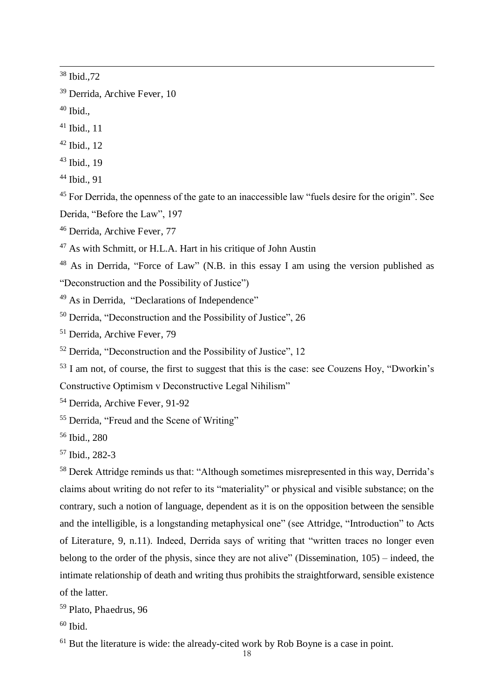Ibid.,72

 $\overline{a}$ 

Ibid.,

- Ibid., 11
- Ibid., 12
- Ibid., 19
- Ibid., 91

<sup>45</sup> For Derrida, the openness of the gate to an inaccessible law "fuels desire for the origin". See Derida, "Before the Law", 197

- Derrida, Archive Fever, 77
- As with Schmitt, or H.L.A. Hart in his critique of John Austin

 As in Derrida, "Force of Law" (N.B. in this essay I am using the version published as "Deconstruction and the Possibility of Justice")

- <sup>49</sup> As in Derrida, "Declarations of Independence"
- Derrida, "Deconstruction and the Possibility of Justice", 26
- Derrida, Archive Fever, 79
- Derrida, "Deconstruction and the Possibility of Justice", 12

I am not, of course, the first to suggest that this is the case: see Couzens Hoy, "Dworkin's

Constructive Optimism v Deconstructive Legal Nihilism"

- Derrida, Archive Fever, 91-92
- Derrida, "Freud and the Scene of Writing"

Ibid., 280

Ibid., 282-3

 Derek Attridge reminds us that: "Although sometimes misrepresented in this way, Derrida's claims about writing do not refer to its "materiality" or physical and visible substance; on the contrary, such a notion of language, dependent as it is on the opposition between the sensible and the intelligible, is a longstanding metaphysical one" (see Attridge, "Introduction" to Acts of Literature, 9, n.11). Indeed, Derrida says of writing that "written traces no longer even belong to the order of the physis, since they are not alive" (Dissemination, 105) – indeed, the intimate relationship of death and writing thus prohibits the straightforward, sensible existence of the latter.

Plato, Phaedrus, 96

Ibid.

But the literature is wide: the already-cited work by Rob Boyne is a case in point.

Derrida, Archive Fever, 10